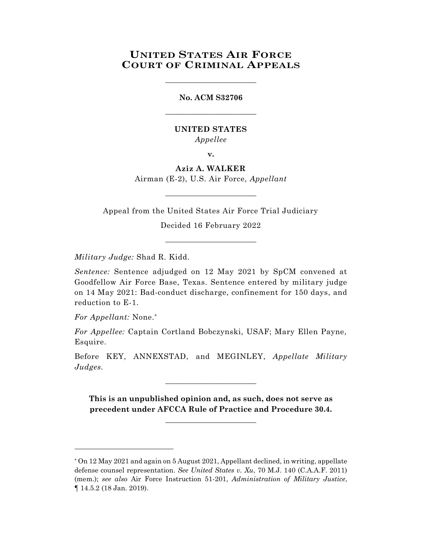## **UNITED STATES AIR FORCE COURT OF CRIMINAL APPEALS**

\_\_\_\_\_\_\_\_\_\_\_\_\_\_\_\_\_\_\_\_\_\_\_\_

# **No. ACM S32706** \_\_\_\_\_\_\_\_\_\_\_\_\_\_\_\_\_\_\_\_\_\_\_\_

#### **UNITED STATES** *Appellee*

**v.**

### **Aziz A. WALKER** Airman (E-2), U.S. Air Force, *Appellant*

\_\_\_\_\_\_\_\_\_\_\_\_\_\_\_\_\_\_\_\_\_\_\_\_

Appeal from the United States Air Force Trial Judiciary

Decided 16 February 2022 \_\_\_\_\_\_\_\_\_\_\_\_\_\_\_\_\_\_\_\_\_\_\_\_

*Military Judge:* Shad R. Kidd.

*Sentence:* Sentence adjudged on 12 May 2021 by SpCM convened at Goodfellow Air Force Base, Texas. Sentence entered by military judge on 14 May 2021: Bad-conduct discharge, confinement for 150 days, and reduction to E-1.

*For Appellant:* None.\*

l

*For Appellee:* Captain Cortland Bobczynski, USAF; Mary Ellen Payne, Esquire.

Before KEY, ANNEXSTAD, and MEGINLEY, *Appellate Military Judges.*

\_\_\_\_\_\_\_\_\_\_\_\_\_\_\_\_\_\_\_\_\_\_\_\_

**This is an unpublished opinion and, as such, does not serve as precedent under AFCCA Rule of Practice and Procedure 30.4.**

**\_\_\_\_\_\_\_\_\_\_\_\_\_\_\_\_\_\_\_\_\_\_\_\_**

<sup>\*</sup> On 12 May 2021 and again on 5 August 2021, Appellant declined, in writing, appellate defense counsel representation. *See United States v. Xu*, 70 M.J. 140 (C.A.A.F. 2011) (mem.); *see also* Air Force Instruction 51-201, *Administration of Military Justice*, ¶ 14.5.2 (18 Jan. 2019).